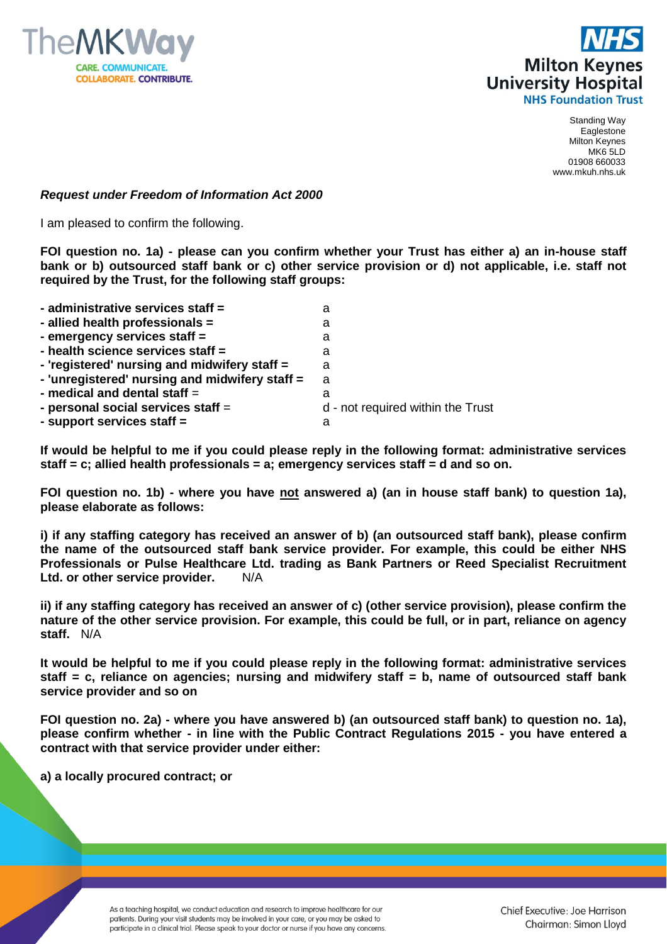



## *Request under Freedom of Information Act 2000*

I am pleased to confirm the following.

**FOI question no. 1a) - please can you confirm whether your Trust has either a) an in-house staff bank or b) outsourced staff bank or c) other service provision or d) not applicable, i.e. staff not required by the Trust, for the following staff groups:**

| - administrative services staff =              | а                                 |
|------------------------------------------------|-----------------------------------|
| - allied health professionals =                | а                                 |
| - emergency services staff =                   | а                                 |
| - health science services staff =              | а                                 |
| - 'registered' nursing and midwifery staff =   | a                                 |
| - 'unregistered' nursing and midwifery staff = | a                                 |
| - medical and dental staff $=$                 | а                                 |
| - personal social services staff =             | d - not required within the Trust |
| - support services staff =                     | а                                 |

**If would be helpful to me if you could please reply in the following format: administrative services staff = c; allied health professionals = a; emergency services staff = d and so on.**

**FOI question no. 1b) - where you have not answered a) (an in house staff bank) to question 1a), please elaborate as follows:**

**i) if any staffing category has received an answer of b) (an outsourced staff bank), please confirm the name of the outsourced staff bank service provider. For example, this could be either NHS Professionals or Pulse Healthcare Ltd. trading as Bank Partners or Reed Specialist Recruitment Ltd. or other service provider.** N/A

**ii) if any staffing category has received an answer of c) (other service provision), please confirm the nature of the other service provision. For example, this could be full, or in part, reliance on agency staff.** N/A

**It would be helpful to me if you could please reply in the following format: administrative services staff = c, reliance on agencies; nursing and midwifery staff = b, name of outsourced staff bank service provider and so on** 

**FOI question no. 2a) - where you have answered b) (an outsourced staff bank) to question no. 1a), please confirm whether - in line with the Public Contract Regulations 2015 - you have entered a contract with that service provider under either:**

**a) a locally procured contract; or**

As a teaching hospital, we conduct education and research to improve healthcare for our patients. During your visit students may be involved in your care, or you may be asked to participate in a clinical trial. Please speak to your doctor or nurse if you have any concerns.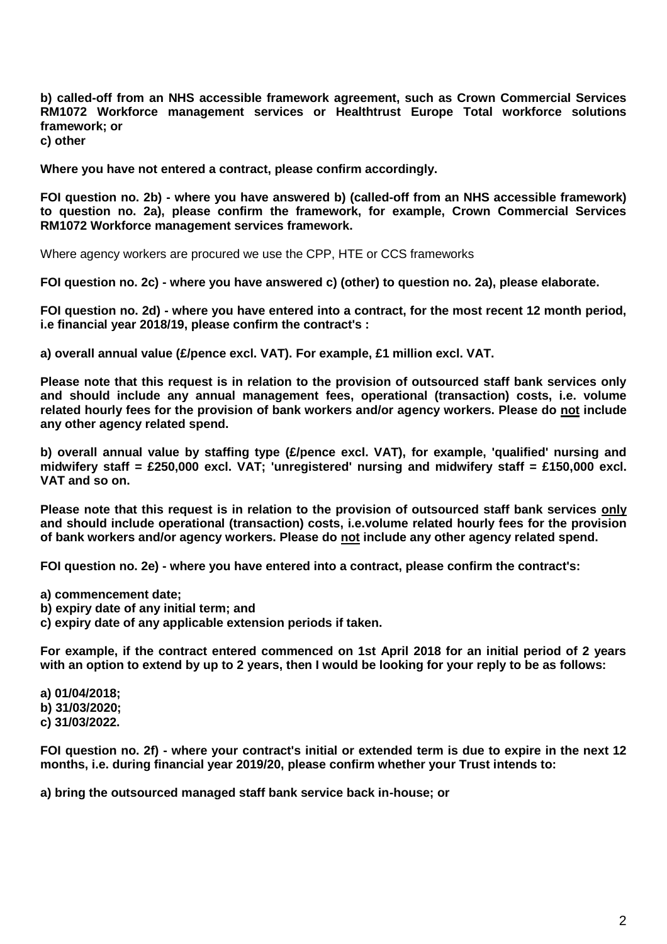**b) called-off from an NHS accessible framework agreement, such as Crown Commercial Services RM1072 Workforce management services or Healthtrust Europe Total workforce solutions framework; or**

**c) other**

**Where you have not entered a contract, please confirm accordingly.**

**FOI question no. 2b) - where you have answered b) (called-off from an NHS accessible framework) to question no. 2a), please confirm the framework, for example, Crown Commercial Services RM1072 Workforce management services framework.**

Where agency workers are procured we use the CPP, HTE or CCS frameworks

**FOI question no. 2c) - where you have answered c) (other) to question no. 2a), please elaborate.**

**FOI question no. 2d) - where you have entered into a contract, for the most recent 12 month period, i.e financial year 2018/19, please confirm the contract's :**

**a) overall annual value (£/pence excl. VAT). For example, £1 million excl. VAT.**

**Please note that this request is in relation to the provision of outsourced staff bank services only and should include any annual management fees, operational (transaction) costs, i.e. volume related hourly fees for the provision of bank workers and/or agency workers. Please do not include any other agency related spend.**

**b) overall annual value by staffing type (£/pence excl. VAT), for example, 'qualified' nursing and midwifery staff = £250,000 excl. VAT; 'unregistered' nursing and midwifery staff = £150,000 excl. VAT and so on.**

**Please note that this request is in relation to the provision of outsourced staff bank services only and should include operational (transaction) costs, i.e.volume related hourly fees for the provision of bank workers and/or agency workers. Please do not include any other agency related spend.**

**FOI question no. 2e) - where you have entered into a contract, please confirm the contract's:**

**a) commencement date;**

**b) expiry date of any initial term; and**

**c) expiry date of any applicable extension periods if taken.**

**For example, if the contract entered commenced on 1st April 2018 for an initial period of 2 years with an option to extend by up to 2 years, then I would be looking for your reply to be as follows:**

**a) 01/04/2018; b) 31/03/2020; c) 31/03/2022.**

**FOI question no. 2f) - where your contract's initial or extended term is due to expire in the next 12 months, i.e. during financial year 2019/20, please confirm whether your Trust intends to:**

**a) bring the outsourced managed staff bank service back in-house; or**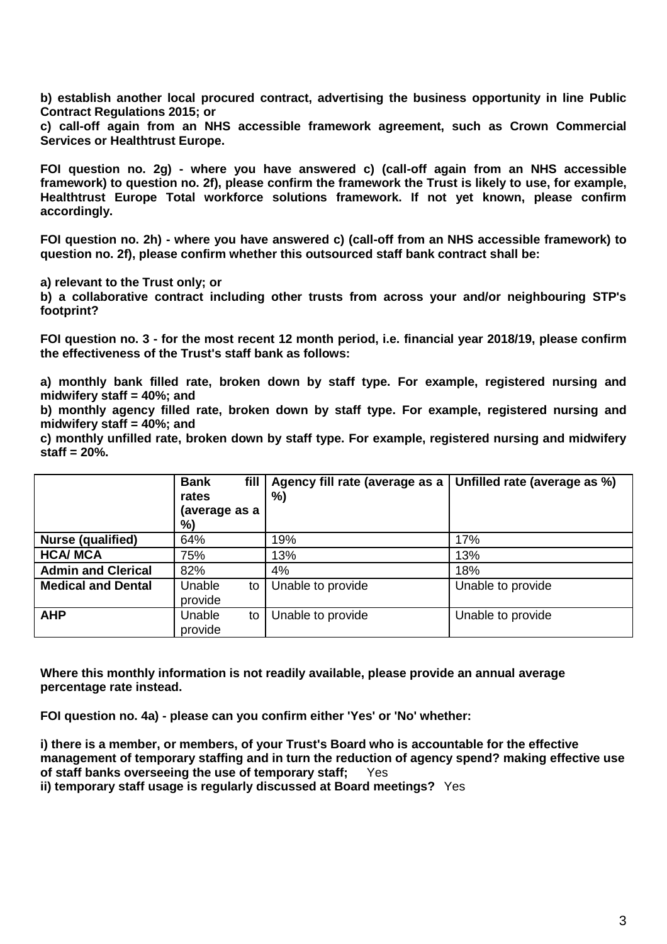**b) establish another local procured contract, advertising the business opportunity in line Public Contract Regulations 2015; or** 

**c) call-off again from an NHS accessible framework agreement, such as Crown Commercial Services or Healthtrust Europe.**

**FOI question no. 2g) - where you have answered c) (call-off again from an NHS accessible framework) to question no. 2f), please confirm the framework the Trust is likely to use, for example, Healthtrust Europe Total workforce solutions framework. If not yet known, please confirm accordingly.**

**FOI question no. 2h) - where you have answered c) (call-off from an NHS accessible framework) to question no. 2f), please confirm whether this outsourced staff bank contract shall be:**

**a) relevant to the Trust only; or**

**b) a collaborative contract including other trusts from across your and/or neighbouring STP's footprint?**

**FOI question no. 3 - for the most recent 12 month period, i.e. financial year 2018/19, please confirm the effectiveness of the Trust's staff bank as follows:**

**a) monthly bank filled rate, broken down by staff type. For example, registered nursing and midwifery staff = 40%; and**

**b) monthly agency filled rate, broken down by staff type. For example, registered nursing and midwifery staff = 40%; and**

**c) monthly unfilled rate, broken down by staff type. For example, registered nursing and midwifery staff = 20%.**

|                           | <b>Bank</b><br>fill<br>rates<br>(average as a<br>%) | Agency fill rate (average as a<br>%) | Unfilled rate (average as %) |
|---------------------------|-----------------------------------------------------|--------------------------------------|------------------------------|
| Nurse (qualified)         | 64%                                                 | 19%                                  | 17%                          |
| <b>HCA/ MCA</b>           | 75%                                                 | 13%                                  | 13%                          |
| <b>Admin and Clerical</b> | 82%                                                 | 4%                                   | 18%                          |
| <b>Medical and Dental</b> | Unable<br>to<br>provide                             | Unable to provide                    | Unable to provide            |
| <b>AHP</b>                | Unable<br>to<br>provide                             | Unable to provide                    | Unable to provide            |

**Where this monthly information is not readily available, please provide an annual average percentage rate instead.**

**FOI question no. 4a) - please can you confirm either 'Yes' or 'No' whether:**

**i) there is a member, or members, of your Trust's Board who is accountable for the effective management of temporary staffing and in turn the reduction of agency spend? making effective use of staff banks overseeing the use of temporary staff;** Yes

**ii) temporary staff usage is regularly discussed at Board meetings?** Yes